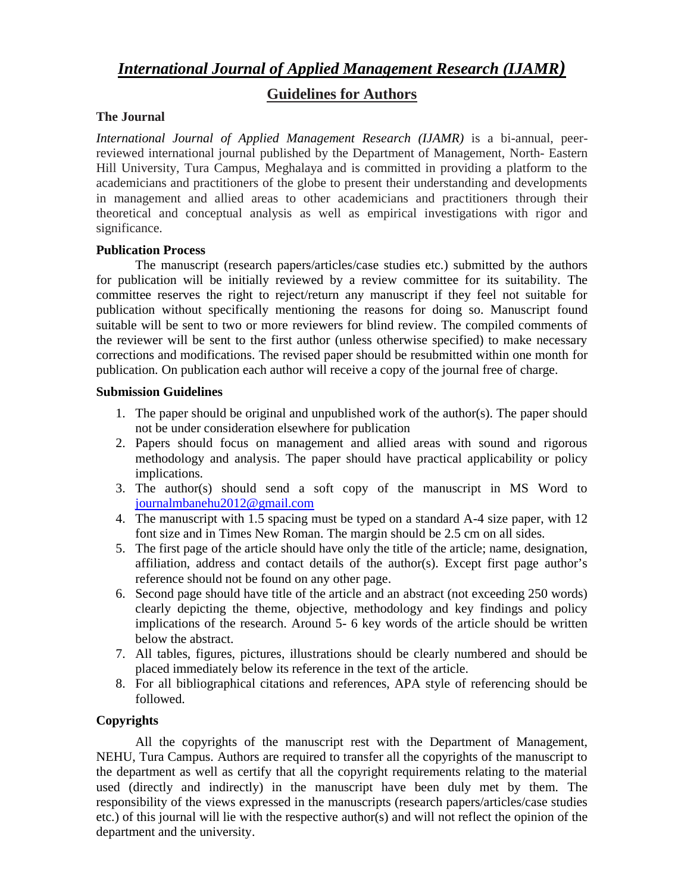# *International Journal of Applied Management Research (IJAMR)*

# **Guidelines for Authors**

### **The Journal**

*International Journal of Applied Management Research (IJAMR)* is a bi-annual, peerreviewed international journal published by the Department of Management, North- Eastern Hill University, Tura Campus, Meghalaya and is committed in providing a platform to the academicians and practitioners of the globe to present their understanding and developments in management and allied areas to other academicians and practitioners through their theoretical and conceptual analysis as well as empirical investigations with rigor and significance.

### **Publication Process**

The manuscript (research papers/articles/case studies etc.) submitted by the authors for publication will be initially reviewed by a review committee for its suitability. The committee reserves the right to reject/return any manuscript if they feel not suitable for publication without specifically mentioning the reasons for doing so. Manuscript found suitable will be sent to two or more reviewers for blind review. The compiled comments of the reviewer will be sent to the first author (unless otherwise specified) to make necessary corrections and modifications. The revised paper should be resubmitted within one month for publication. On publication each author will receive a copy of the journal free of charge.

### **Submission Guidelines**

- 1. The paper should be original and unpublished work of the author(s). The paper should not be under consideration elsewhere for publication
- 2. Papers should focus on management and allied areas with sound and rigorous methodology and analysis. The paper should have practical applicability or policy implications.
- 3. The author(s) should send a soft copy of the manuscript in MS Word to journalmbanehu2012@gmail.co[m](journalmbanehu2012@gmail.com)
- 4. The manuscript with 1.5 spacing must be typed on a standard A-4 size paper, with 12 font size and in Times New Roman. The margin should be 2.5 cm on all sides.
- 5. The first page of the article should have only the title of the article; name, designation, affiliation, address and contact details of the author(s). Except first page author's reference should not be found on any other page.
- 6. Second page should have title of the article and an abstract (not exceeding 250 words) clearly depicting the theme, objective, methodology and key findings and policy implications of the research. Around 5- 6 key words of the article should be written below the abstract.
- 7. All tables, figures, pictures, illustrations should be clearly numbered and should be placed immediately below its reference in the text of the article.
- 8. For all bibliographical citations and references, APA style of referencing should be followed.

## **Copyrights**

All the copyrights of the manuscript rest with the Department of Management, NEHU, Tura Campus. Authors are required to transfer all the copyrights of the manuscript to the department as well as certify that all the copyright requirements relating to the material used (directly and indirectly) in the manuscript have been duly met by them. The responsibility of the views expressed in the manuscripts (research papers/articles/case studies etc.) of this journal will lie with the respective author(s) and will not reflect the opinion of the department and the university.